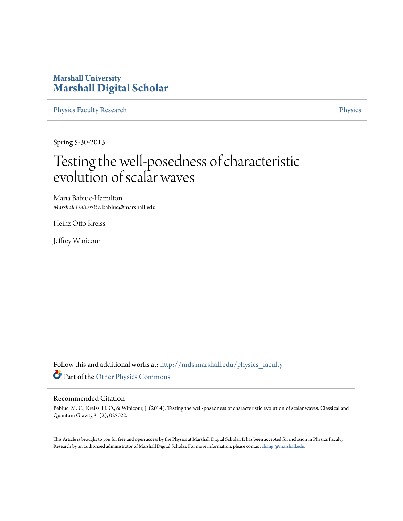# **Marshall University [Marshall Digital Scholar](http://mds.marshall.edu?utm_source=mds.marshall.edu%2Fphysics_faculty%2F27&utm_medium=PDF&utm_campaign=PDFCoverPages)**

[Physics Faculty Research](http://mds.marshall.edu/physics_faculty?utm_source=mds.marshall.edu%2Fphysics_faculty%2F27&utm_medium=PDF&utm_campaign=PDFCoverPages) **[Physics](http://mds.marshall.edu/physics?utm_source=mds.marshall.edu%2Fphysics_faculty%2F27&utm_medium=PDF&utm_campaign=PDFCoverPages)** 

Spring 5-30-2013

# Testing the well-posedness of characteristic evolution of scalar waves

Maria Babiuc-Hamilton *Marshall University*, babiuc@marshall.edu

Heinz Otto Kreiss

Jeffrey Winicour

Follow this and additional works at: [http://mds.marshall.edu/physics\\_faculty](http://mds.marshall.edu/physics_faculty?utm_source=mds.marshall.edu%2Fphysics_faculty%2F27&utm_medium=PDF&utm_campaign=PDFCoverPages) Part of the [Other Physics Commons](http://network.bepress.com/hgg/discipline/207?utm_source=mds.marshall.edu%2Fphysics_faculty%2F27&utm_medium=PDF&utm_campaign=PDFCoverPages)

# Recommended Citation

Babiuc, M. C., Kreiss, H. O., & Winicour, J. (2014). Testing the well-posedness of characteristic evolution of scalar waves. Classical and Quantum Gravity,31(2), 025022.

This Article is brought to you for free and open access by the Physics at Marshall Digital Scholar. It has been accepted for inclusion in Physics Faculty Research by an authorized administrator of Marshall Digital Scholar. For more information, please contact [zhangj@marshall.edu.](mailto:zhangj@marshall.edu)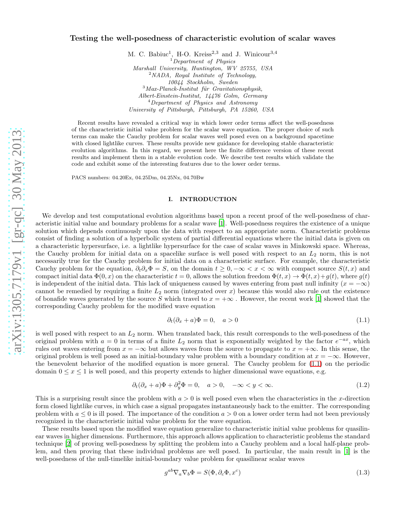### Testing the well-posedness of characteristic evolution of scalar waves

M. C. Babiuc<sup>1</sup>, H-O. Kreiss<sup>2,3</sup> and J. Winicour<sup>3,4</sup>  $1$ <sup>1</sup>Department of Physics Marshall University, Huntington, WV 25755, USA  $2$ NADA, Royal Institute of Technology, 10044 Stockholm, Sweden  $3$ Max-Planck-Institut für Gravitationsphysik, Albert-Einstein-Institut, 14476 Golm, Germany  $<sup>4</sup> Department of Physics and Astronomy$ </sup> University of Pittsburgh, Pittsburgh, PA 15260, USA

Recent results have revealed a critical way in which lower order terms affect the well-posedness of the characteristic initial value problem for the scalar wave equation. The proper choice of such terms can make the Cauchy problem for scalar waves well posed even on a background spacetime with closed lightlike curves. These results provide new guidance for developing stable characteristic evolution algorithms. In this regard, we present here the finite difference version of these recent results and implement them in a stable evolution code. We describe test results which validate the code and exhibit some of the interesting features due to the lower order terms.

PACS numbers: 04.20Ex, 04.25Dm, 04.25Nx, 04.70Bw

#### I. INTRODUCTION

We develop and test computational evolution algorithms based upon a recent proof of the well-posedness of characteristic initial value and boundary problems for a scalar wave [1]. Well-posedness requires the existence of a unique solution which depends continuously upon the data with respect to an appropriate norm. Characteristic problems consist of finding a solution of a hyperbolic system of partial differential equations where the initial data is given on a characteristic hypersurface, i.e. a lightlike hypersurface for the case of scalar waves in Minkowski space. Whereas, the Cauchy problem for initial data on a spacelike surface is well posed with respect to an  $L_2$  norm, this is not necessarily true for the Cauchy problem for initial data on a characteristic surface. For example, the characteristic Cauchy problem for the equation,  $\partial_t \partial_x \Phi = S$ , on the domain  $t > 0, -\infty < x < \infty$  with compact source  $S(t, x)$  and compact initial data  $\Phi(0, x)$  on the characteristic  $t = 0$ , allows the solution freedom  $\Phi(t, x) \to \Phi(t, x) + q(t)$ , where  $q(t)$ is independent of the initial data. This lack of uniqueness caused by waves entering from past null infinity  $(x = -\infty)$ cannot be remedied by requiring a finite  $L_2$  norm (integrated over x) because this would also rule out the existence of bonafide waves generated by the source S which travel to  $x = +\infty$ . However, the recent work [1] showed that the corresponding Cauchy problem for the modified wave equation

$$
\partial_t(\partial_x + a)\Phi = 0, \quad a > 0 \tag{1.1}
$$

is well posed with respect to an  $L_2$  norm. When translated back, this result corresponds to the well-posedness of the original problem with  $a = 0$  in terms of a finite  $L_2$  norm that is exponentially weighted by the factor  $e^{-ax}$ , which rules out waves entering from  $x = -\infty$  but allows waves from the source to propagate to  $x = +\infty$ . In this sense, the original problem is well posed as an initial-boundary value problem with a boundary condition at  $x = -\infty$ . However, the benevolent behavior of the modified equation is more general. The Cauchy problem for (1.1) on the periodic domain  $0 \leq x \leq 1$  is well posed, and this property extends to higher dimensional wave equations, e.g.

$$
\partial_t(\partial_x + a)\Phi + \partial_y^2 \Phi = 0, \quad a > 0, \quad -\infty < y < \infty. \tag{1.2}
$$

This is a surprising result since the problem with  $a > 0$  is well posed even when the characteristics in the x-direction form closed lightlike curves, in which case a signal propagates instantaneously back to the emitter. The corresponding problem with  $a \leq 0$  is ill posed. The importance of the condition  $a > 0$  on a lower order term had not been previously recognized in the characteristic initial value problem for the wave equation.

These results based upon the modified wave equation generalize to characteristic initial value problems for quasilinear waves in higher dimensions. Furthermore, this approach allows application to characteristic problems the standard technique [2] of proving well-posedness by splitting the problem into a Cauchy problem and a local half-plane problem, and then proving that these individual problems are well posed. In particular, the main result in [1] is the well-posedness of the null-timelike initial-boundary value problem for quasilinear scalar waves

$$
g^{ab}\nabla_a\nabla_b\Phi = S(\Phi, \partial_c\Phi, x^c)
$$
\n(1.3)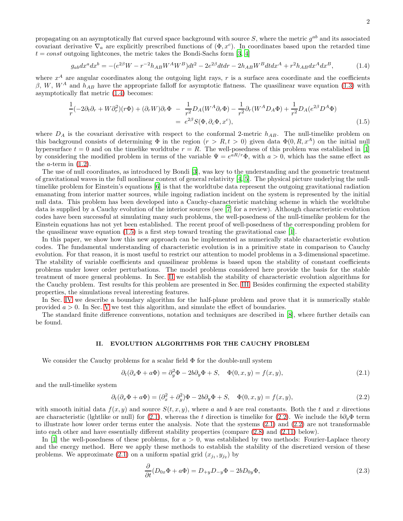propagating on an asymptotically flat curved space background with source S, where the metric  $g^{ab}$  and its associated covariant derivative  $\nabla_a$  are explicitly prescribed functions of  $(\Phi, x^c)$ . In coordinates based upon the retarded time  $t = const$  outgoing lightcones, the metric takes the Bondi-Sachs form [3, 4]

$$
g_{ab}dx^{a}dx^{b} = -(e^{2\beta}W - r^{-2}h_{AB}W^{A}W^{B})dt^{2} - 2e^{2\beta}dtdr - 2h_{AB}W^{B}dtdx^{A} + r^{2}h_{AB}dx^{A}dx^{B},
$$
\n(1.4)

where  $x^A$  are angular coordinates along the outgoing light rays, r is a surface area coordinate and the coefficients β, W, W<sup>A</sup> and  $h_{AB}$  have the appropriate falloff for asymptotic flatness. The quasilinear wave equation (1.3) with asymptotically flat metric (1.4) becomes:

$$
\frac{1}{r}(-2\partial_t\partial_r + W\partial_r^2)(r\Phi) + (\partial_r W)\partial_r\Phi - \frac{1}{r^2}D_A(W^A\partial_r\Phi) - \frac{1}{r^2}\partial_r(W^A D_A\Phi) + \frac{1}{r^2}D_A(e^{2\beta}D^A\Phi)
$$
\n
$$
= e^{2\beta}S(\Phi, \partial_c\Phi, x^c),
$$
\n(1.5)

where  $D_A$  is the covariant derivative with respect to the conformal 2-metric  $h_{AB}$ . The null-timelike problem on this background consists of determining  $\Phi$  in the region  $(r > R, t > 0)$  given data  $\Phi(0, R, x^A)$  on the initial null hypersurface  $t = 0$  and on the timelike worldtube  $r = R$ . The well-posedness of this problem was established in [1] by considering the modified problem in terms of the variable  $\Psi = e^{aR/r}\Phi$ , with  $a > 0$ , which has the same effect as the *a*-term in  $(1.2)$ .

The use of null coordinates, as introduced by Bondi [3], was key to the understanding and the geometric treatment of gravitational waves in the full nonlinear context of general relativity [4, 5]. The physical picture underlying the nulltimelike problem for Einstein's equations [6] is that the worldtube data represent the outgoing gravitational radiation emanating from interior matter sources, while ingoing radiation incident on the system is represented by the initial null data. This problem has been developed into a Cauchy-characteristic matching scheme in which the worldtube data is supplied by a Cauchy evolution of the interior sources (see [7] for a review). Although characteristic evolution codes have been successful at simulating many such problems, the well-posedness of the null-timelike problem for the Einstein equations has not yet been established. The recent proof of well-posedness of the corresponding problem for the quasilinear wave equation  $(1.5)$  is a first step toward treating the gravitational case [1].

In this paper, we show how this new approach can be implemented as numerically stable characteristic evolution codes. The fundamental understanding of characteristic evolution is in a primitive state in comparison to Cauchy evolution. For that reason, it is most useful to restrict our attention to model problems in a 3-dimensional spacetime. The stability of variable coefficients and quasilinear problems is based upon the stability of constant coefficients problems under lower order perturbations. The model problems considered here provide the basis for the stable treatment of more general problems. In Sec. II we establish the stability of characteristic evolution algorithms for the Cauchy problem. Test results for this problem are presented in Sec. III. Besides confirming the expected stability properties, the simulations reveal interesting features.

In Sec. IV we describe a boundary algorithm for the half-plane problem and prove that it is numerically stable provided  $a > 0$ . In Sec. V we test this algorithm, and simulate the effect of boundaries.

The standard finite difference conventions, notation and techniques are described in [8], where further details can be found.

#### II. EVOLUTION ALGORITHMS FOR THE CAUCHY PROBLEM

We consider the Cauchy problems for a scalar field  $\Phi$  for the double-null system

$$
\partial_t(\partial_x \Phi + a\Phi) = \partial_y^2 \Phi - 2b\partial_y \Phi + S, \quad \Phi(0, x, y) = f(x, y), \tag{2.1}
$$

and the null-timelike system

$$
\partial_t(\partial_x \Phi + a\Phi) = (\partial_x^2 + \partial_y^2)\Phi - 2b\partial_y \Phi + S, \quad \Phi(0, x, y) = f(x, y), \tag{2.2}
$$

with smooth initial data  $f(x, y)$  and source  $S(t, x, y)$ , where a and b are real constants. Both the t and x directions are characteristic (lghtlike or null) for (2.1), whereas the t direction is timelike for (2.2). We include the  $b\partial_y\Phi$  term to illustrate how lower order terms enter the analysis. Note that the systems (2.1) and (2.2) are not transformable into each other and have essentially different stability properties (compare (2.8) and (2.11) below).

In [1] the well-posedness of these problems, for  $a > 0$ , was established by two methods: Fourier-Laplace theory and the energy method. Here we apply these methods to establish the stability of the discretized version of these problems. We approximate  $(2.1)$  on a uniform spatial grid  $(x_{j_1}, y_{j_2})$  by

$$
\frac{\partial}{\partial t}(D_{0x}\Phi + a\Phi) = D_{+y}D_{-y}\Phi - 2bD_{0y}\Phi, \qquad (2.3)
$$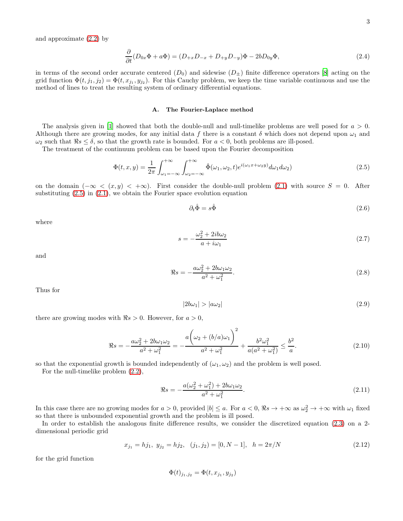and approximate (2.2) by

$$
\frac{\partial}{\partial t}(D_{0x}\Phi + a\Phi) = (D_{+x}D_{-x} + D_{+y}D_{-y})\Phi - 2bD_{0y}\Phi,
$$
\n(2.4)

in terms of the second order accurate centered  $(D_0)$  and sidewise  $(D_{\pm})$  finite difference operators [8] acting on the grid function  $\Phi(t, j_1, j_2) = \Phi(t, x_{j_1}, y_{j_2})$ . For this Cauchy problem, we keep the time variable continuous and use the method of lines to treat the resulting system of ordinary differential equations.

#### A. The Fourier-Laplace method

The analysis given in [1] showed that both the double-null and null-timelike problems are well posed for  $a > 0$ . Although there are growing modes, for any initial data f there is a constant  $\delta$  which does not depend upon  $\omega_1$  and  $\omega_2$  such that  $\Re s \leq \delta$ , so that the growth rate is bounded. For  $a < 0$ , both problems are ill-posed.

The treatment of the continuum problem can be based upon the Fourier decomposition

$$
\Phi(t,x,y) = \frac{1}{2\pi} \int_{\omega_1 = -\infty}^{+\infty} \int_{\omega_2 = -\infty}^{+\infty} \hat{\Phi}(\omega_1, \omega_2, t) e^{i(\omega_1 x + \omega_2 y)} d\omega_1 d\omega_2 \tag{2.5}
$$

on the domain  $(-\infty < (x, y) < +\infty)$ . First consider the double-null problem (2.1) with source  $S = 0$ . After substituting  $(2.5)$  in  $(2.1)$ , we obtain the Fourier space evolution equation

$$
\partial_t \hat{\Phi} = s \hat{\Phi} \tag{2.6}
$$

where

$$
s = -\frac{\omega_2^2 + 2ib\omega_2}{a + i\omega_1} \tag{2.7}
$$

and

$$
\Re s = -\frac{a\omega_2^2 + 2b\omega_1\omega_2}{a^2 + \omega_1^2}.
$$
\n(2.8)

Thus for

$$
|2b\omega_1| > |a\omega_2| \tag{2.9}
$$

there are growing modes with  $\Re s > 0$ . However, for  $a > 0$ ,

$$
\Re s = -\frac{a\omega_2^2 + 2b\omega_1\omega_2}{a^2 + \omega_1^2} = -\frac{a\left(\omega_2 + (b/a)\omega_1\right)^2}{a^2 + \omega_1^2} + \frac{b^2\omega_1^2}{a(a^2 + \omega_1^2)} \le \frac{b^2}{a}.
$$
\n(2.10)

so that the exponential growth is bounded independently of  $(\omega_1, \omega_2)$  and the problem is well posed.

For the null-timelike problem (2.2),

$$
\Re s = -\frac{a(\omega_2^2 + \omega_1^2) + 2b\omega_1\omega_2}{a^2 + \omega_1^2}.
$$
\n(2.11)

In this case there are no growing modes for  $a > 0$ , provided  $|b| \le a$ . For  $a < 0$ ,  $\Re s \to +\infty$  as  $\omega_2^2 \to +\infty$  with  $\omega_1$  fixed so that there is unbounded exponential growth and the problem is ill posed.

In order to establish the analogous finite difference results, we consider the discretized equation (2.3) on a 2 dimensional periodic grid

$$
x_{j_1} = h j_1, \ y_{j_2} = h j_2, \ (j_1, j_2) = [0, N - 1], \ h = 2\pi/N
$$
\n(2.12)

for the grid function

$$
\Phi(t)_{j_1,j_2} = \Phi(t, x_{j_1}, y_{j_2})
$$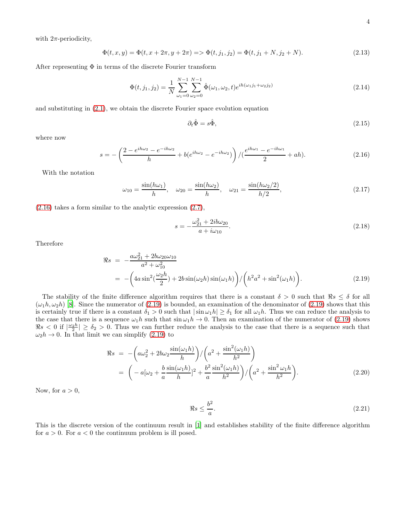with  $2\pi$ -periodicity,

$$
\Phi(t, x, y) = \Phi(t, x + 2\pi, y + 2\pi) \Longrightarrow \Phi(t, j_1, j_2) = \Phi(t, j_1 + N, j_2 + N). \tag{2.13}
$$

After representing  $\Phi$  in terms of the discrete Fourier transform

$$
\Phi(t,j_1,j_2) = \frac{1}{N} \sum_{\omega_1=0}^{N-1} \sum_{\omega_2=0}^{N-1} \hat{\Phi}(\omega_1,\omega_2,t) e^{ih(\omega_1 j_1 + \omega_2 j_2)}
$$
\n(2.14)

and substituting in (2.1), we obtain the discrete Fourier space evolution equation

$$
\partial_t \hat{\Phi} = s \hat{\Phi},\tag{2.15}
$$

where now

$$
s = -\left(\frac{2 - e^{ih\omega_2} - e^{-ih\omega_2}}{h} + b(e^{ih\omega_2} - e^{-ih\omega_2})\right) / (\frac{e^{ih\omega_1} - e^{-ih\omega_1}}{2} + ah).
$$
 (2.16)

With the notation

$$
\omega_{10} = \frac{\sin(h\omega_1)}{h}, \quad \omega_{20} = \frac{\sin(h\omega_2)}{h}, \quad \omega_{21} = \frac{\sin(h\omega_2/2)}{h/2},\tag{2.17}
$$

(2.16) takes a form similar to the analytic expression (2.7),

$$
s = -\frac{\omega_{21}^2 + 2ib\omega_{20}}{a + i\omega_{10}}.\t(2.18)
$$

Therefore

$$
\Re s = -\frac{a\omega_{21}^2 + 2b\omega_{20}\omega_{10}}{a^2 + \omega_{10}^2} \n= -\left(4a\sin^2(\frac{\omega_2 h}{2}) + 2b\sin(\omega_2 h)\sin(\omega_1 h)\right) / \left(h^2 a^2 + \sin^2(\omega_1 h)\right).
$$
\n(2.19)

The stability of the finite difference algorithm requires that there is a constant  $\delta > 0$  such that  $\Re s \leq \delta$  for all  $(\omega_1 h, \omega_2 h)$  [8]. Since the numerator of (2.19) is bounded, an examination of the denominator of (2.19) shows that this is certainly true if there is a constant  $\delta_1 > 0$  such that  $|\sin \omega_1 h| \ge \delta_1$  for all  $\omega_1 h$ . Thus we can reduce the analysis to the case that there is a sequence  $\omega_1 h$  such that  $\sin \omega_1 h \to 0$ . Then an examination of the numerator of (2.19) shows  $\Re s < 0$  if  $\left|\frac{\omega_2 h}{2}\right| \ge \delta_2 > 0$ . Thus we can further reduce the analysis to the case that there is a sequence such that  $\omega_2 h \to 0$ . In that limit we can simplify (2.19) to

$$
\Re s = -\left(a\omega_2^2 + 2b\omega_2 \frac{\sin(\omega_1 h)}{h}\right) / \left(a^2 + \frac{\sin^2(\omega_1 h)}{h^2}\right) \n= \left(-a[\omega_2 + \frac{b}{a} \frac{\sin(\omega_1 h)}{h}]^2 + \frac{b^2}{a} \frac{\sin^2(\omega_1 h)}{h^2}\right) / \left(a^2 + \frac{\sin^2 \omega_1 h}{h^2}\right).
$$
\n(2.20)

Now, for  $a > 0$ ,

$$
\Re s \le \frac{b^2}{a}.\tag{2.21}
$$

This is the discrete version of the continuum result in [1] and establishes stability of the finite difference algorithm for  $a > 0$ . For  $a < 0$  the continuum problem is ill posed.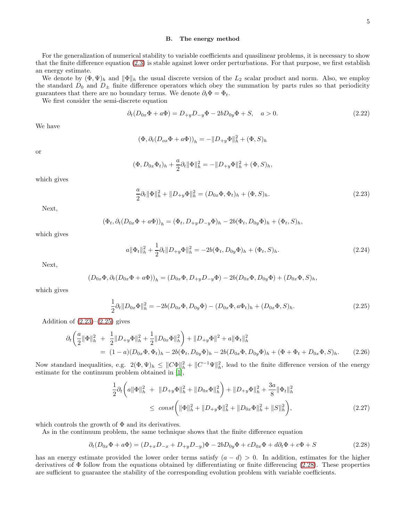#### B. The energy method

For the generalization of numerical stability to variable coefficients and quasilinear problems, it is necessary to show that the finite difference equation (2.3) is stable against lower order perturbations. For that purpose, we first establish an energy estimate.

We denote by  $(\Phi, \Psi)_h$  and  $\|\Phi\|_h$  the usual discrete version of the  $L_2$  scalar product and norm. Also, we employ the standard  $D_0$  and  $D_{\pm}$  finite difference operators which obey the summation by parts rules so that periodicity guarantees that there are no boundary terms. We denote  $\partial_t \Phi = \Phi_t$ .

We first consider the semi-discrete equation

$$
\partial_t (D_{0x} \Phi + a\Phi) = D_{+y} D_{-y} \Phi - 2b D_{0y} \Phi + S, \quad a > 0. \tag{2.22}
$$

We have

$$
(\Phi, \partial_t (D_{ox}\Phi + a\Phi))_h = -||D_{+y}\Phi||_h^2 + (\Phi, S)_h
$$

or

$$
(\Phi, D_{0x}\Phi_t)_h + \frac{a}{2}\partial_t \|\Phi\|_h^2 = -\|D_{+y}\Phi\|_h^2 + (\Phi, S)_h,
$$

which gives

$$
\frac{a}{2}\partial_t \|\Phi\|_h^2 + \|D_{+y}\Phi\|_h^2 = (D_{0x}\Phi, \Phi_t)_h + (\Phi, S)_h.
$$
\n(2.23)

Next,

$$
(\Phi_t, \partial_t (D_{0x} \Phi + a\Phi))_h = (\Phi_t, D_{+y} D_{-y} \Phi)_h - 2b(\Phi_t, D_{0y} \Phi)_h + (\Phi_t, S)_h,
$$

which gives

$$
a\|\Phi_t\|_h^2 + \frac{1}{2}\partial_t \|D_{+y}\Phi\|_h^2 = -2b(\Phi_t, D_{0y}\Phi)_h + (\Phi_t, S)_h.
$$
\n(2.24)

Next,

$$
(D_{0x}\Phi,\partial_t(D_{0x}\Phi+a\Phi))_h=(D_{0x}\Phi,D_{+y}D_{-y}\Phi)-2b(D_{0x}\Phi,D_{0y}\Phi)+(D_{0x}\Phi,S)_h,
$$

which gives

$$
\frac{1}{2}\partial_t \|D_{0x}\Phi\|_h^2 = -2b(D_{0x}\Phi, D_{0y}\Phi) - (D_{0x}\Phi, a\Phi_t)_h + (D_{0x}\Phi, S)_h.
$$
\n(2.25)

Addition of  $(2.23)$ – $(2.25)$  gives

$$
\partial_t \left( \frac{a}{2} \|\Phi\|_h^2 + \frac{1}{2} \|D_{+y}\Phi\|_h^2 + \frac{1}{2} \|D_{0x}\Phi\|_h^2 \right) + \|D_{+y}\Phi\|^2 + a \|\Phi_t\|_h^2
$$
  
=  $(1 - a)(D_{0x}\Phi, \Phi_t)_h - 2b(\Phi_t, D_{0y}\Phi)_h - 2b(D_{0x}\Phi, D_{0y}\Phi)_h + (\Phi + \Phi_t + D_{0x}\Phi, S)_h.$  (2.26)

Now standard inequalities, e.g.  $2(\Phi, \Psi)_h \leq ||C\Phi||_h^2 + ||C^{-1}\Psi||_h^2$ , lead to the finite difference version of the energy estimate for the continuum problem obtained in [1],

$$
\frac{1}{2}\partial_t \left( a\|\Phi\|_h^2 + \|D_{+y}\Phi\|_h^2 + \|D_{0x}\Phi\|_h^2 \right) + \|D_{+y}\Phi\|_h^2 + \frac{3a}{8}\|\Phi_t\|_h^2
$$
\n
$$
\leq \text{const} \left( \|\Phi\|_h^2 + \|D_{+y}\Phi\|_h^2 + \|D_{0x}\Phi\|_h^2 + \|S\|_h^2 \right), \tag{2.27}
$$

which controls the growth of  $\Phi$  and its derivatives.

As in the continuum problem, the same technique shows that the finite difference equation

$$
\partial_t (D_{0x} \Phi + a\Phi) = (D_{+x}D_{-x} + D_{+y}D_{-y})\Phi - 2bD_{0y}\Phi + cD_{0x}\Phi + d\partial_t \Phi + e\Phi + S \tag{2.28}
$$

has an energy estimate provided the lower order terms satisfy  $(a - d) > 0$ . In addition, estimates for the higher derivatives of  $\Phi$  follow from the equations obtained by differentiating or finite differencing (2.28). These properties are sufficient to guarantee the stability of the corresponding evolution problem with variable coefficients.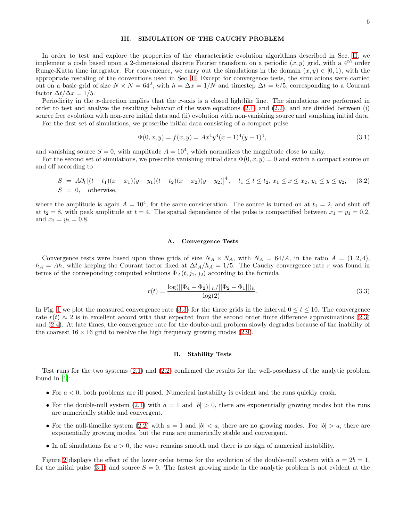#### III. SIMULATION OF THE CAUCHY PROBLEM

In order to test and explore the properties of the characteristic evolution algorithms described in Sec. II, we implement a code based upon a 2-dimensional discrete Fourier transform on a periodic  $(x, y)$  grid, with a 4<sup>th</sup> order Runge-Kutta time integrator. For convenience, we carry out the simulations in the domain  $(x, y) \in [0, 1)$ , with the appropriate rescaling of the conventions used in Sec. II. Except for convergence tests, the simulations were carried out on a basic grid of size  $N \times N = 64^2$ , with  $h = \Delta x = 1/N$  and timestep  $\Delta t = h/5$ , corresponding to a Courant factor  $\Delta t / \Delta x = 1/5$ .

Periodicity in the x-direction implies that the x-axis is a closed lightlike line. The simulations are performed in order to test and analyze the resulting behavior of the wave equations  $(2.1)$  and  $(2.2)$ , and are divided between (i) source free evolution with non-zero initial data and (ii) evolution with non-vanishing source and vanishing initial data.

For the first set of simulations, we prescribe initial data consisting of a compact pulse

$$
\Phi(0, x, y) = f(x, y) = Ax^4 y^4 (x - 1)^4 (y - 1)^4,
$$
\n(3.1)

and vanishing source  $S = 0$ , with amplitude  $A = 10<sup>4</sup>$ , which normalizes the magnitude close to unity.

For the second set of simulations, we prescribe vanishing initial data  $\Phi(0, x, y) = 0$  and switch a compact source on and off according to

$$
S = A\partial_t \left[ (t - t_1)(x - x_1)(y - y_1)(t - t_2)(x - x_2)(y - y_2) \right]^4, \quad t_1 \le t \le t_2, \ x_1 \le x \le x_2, \ y_1 \le y \le y_2,\tag{3.2}
$$
\n
$$
S = 0, \quad \text{otherwise},
$$

where the amplitude is again  $A = 10^4$ , for the same consideration. The source is turned on at  $t_1 = 2$ , and shut off at  $t_2 = 8$ , with peak amplitude at  $t = 4$ . The spatial dependence of the pulse is compactified between  $x_1 = y_1 = 0.2$ , and  $x_2 = y_2 = 0.8$ .

#### A. Convergence Tests

Convergence tests were based upon three grids of size  $N_A \times N_A$ , with  $N_A = 64/A$ , in the ratio  $A = (1, 2, 4)$ ,  $h_A = Ah$ , while keeping the Courant factor fixed at  $\Delta t_A/h_A = 1/5$ . The Cauchy convergence rate r was found in terms of the corresponding computed solutions  $\Phi_A(t, j_1, j_2)$  according to the formula

$$
r(t) = \frac{\log(||\Phi_4 - \Phi_2||_h/||\Phi_2 - \Phi_1||)_h}{\log(2)}.
$$
\n(3.3)

In Fig. 1 we plot the measured convergence rate (3.3) for the three grids in the interval  $0 \le t \le 10$ . The convergence rate  $r(t) \approx 2$  is in excellent accord with that expected from the second order finite difference approximations (2.3) and (2.4). At late times, the convergence rate for the double-null problem slowly degrades because of the inability of the coarsest  $16 \times 16$  grid to resolve the high frequency growing modes (2.9).

#### B. Stability Tests

Test runs for the two systems (2.1) and (2.2) confirmed the results for the well-posedness of the analytic problem found in [1]:

- For  $a < 0$ , both problems are ill posed. Numerical instability is evident and the runs quickly crash.
- For the double-null system (2.1) with  $a = 1$  and  $|b| > 0$ , there are exponentially growing modes but the runs are numerically stable and convergent.
- For the null-timelike system (2.2) with  $a = 1$  and  $|b| < a$ , there are no growing modes. For  $|b| > a$ , there are exponentially growing modes, but the runs are numerically stable and convergent.
- In all simulations for  $a > 0$ , the wave remains smooth and there is no sign of numerical instability.

Figure 2 displays the effect of the lower order terms for the evolution of the double-null system with  $a = 2b = 1$ , for the initial pulse (3.1) and source  $S = 0$ . The fastest growing mode in the analytic problem is not evident at the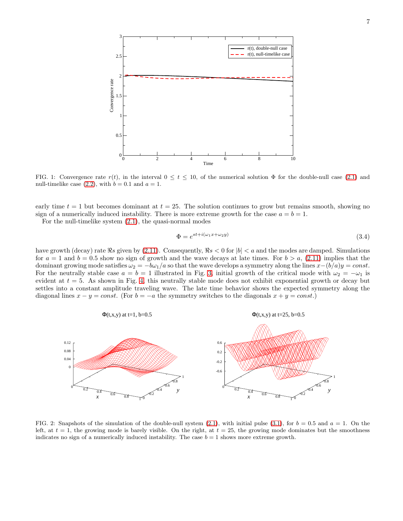

FIG. 1: Convergence rate  $r(t)$ , in the interval  $0 \le t \le 10$ , of the numerical solution  $\Phi$  for the double-null case (2.1) and null-timelike case (2.2), with  $b = 0.1$  and  $a = 1$ .

early time  $t = 1$  but becomes dominant at  $t = 25$ . The solution continues to grow but remains smooth, showing no sign of a numerically induced instability. There is more extreme growth for the case  $a = b = 1$ .

For the null-timelike system (2.1), the quasi-normal modes

$$
\Phi = e^{st + i(\omega_1 x + \omega_2 y)}\tag{3.4}
$$

have growth (decay) rate  $\Re s$  given by (2.11). Consequently,  $\Re s < 0$  for  $|b| < a$  and the modes are damped. Simulations for  $a = 1$  and  $b = 0.5$  show no sign of growth and the wave decays at late times. For  $b > a$ , (2.11) implies that the dominant growing mode satisfies  $\omega_2 = -b\omega_1/a$  so that the wave develops a symmetry along the lines  $x-(b/a)y = const.$ For the neutrally stable case  $a = b = 1$  illustrated in Fig. 3, initial growth of the critical mode with  $\omega_2 = -\omega_1$  is evident at  $t = 5$ . As shown in Fig. 4, this neutrally stable mode does not exhibit exponential growth or decay but settles into a constant amplitude traveling wave. The late time behavior shows the expected symmetry along the diagonal lines  $x - y = const.$  (For  $b = -a$  the symmetry switches to the diagonals  $x + y = const.$ )



FIG. 2: Snapshots of the simulation of the double-null system  $(2.1)$ , with initial pulse  $(3.1)$ , for  $b = 0.5$  and  $a = 1$ . On the left, at  $t = 1$ , the growing mode is barely visible. On the right, at  $t = 25$ , the growing mode dominates but the smoothness indicates no sign of a numerically induced instability. The case  $b = 1$  shows more extreme growth.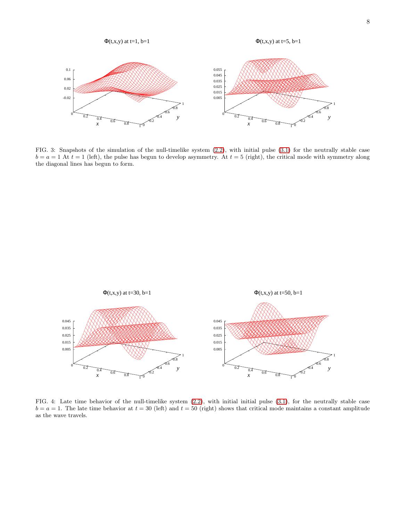

FIG. 3: Snapshots of the simulation of the null-timelike system (2.2), with initial pulse (3.1) for the neutrally stable case  $b = a = 1$  At  $t = 1$  (left), the pulse has begun to develop asymmetry. At  $t = 5$  (right), the critical mode with symmetry along the diagonal lines has begun to form.



FIG. 4: Late time behavior of the null-timelike system (2.2), with initial initial pulse (3.1), for the neutrally stable case  $b = a = 1$ . The late time behavior at  $t = 30$  (left) and  $t = 50$  (right) shows that critical mode maintains a constant amplitude as the wave travels.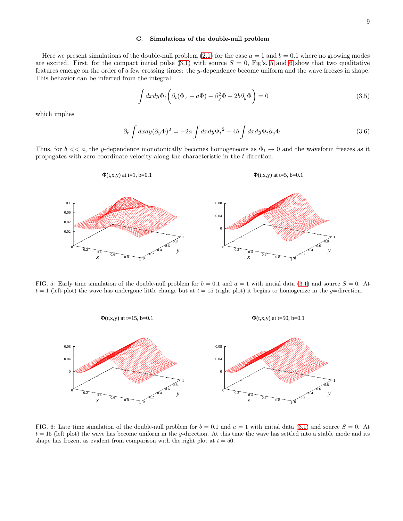#### C. Simulations of the double-null problem

Here we present simulations of the double-null problem  $(2.1)$  for the case  $a = 1$  and  $b = 0.1$  where no growing modes are excited. First, for the compact initial pulse  $(3.1)$  with source  $S = 0$ , Fig's. 5 and 6 show that two qualitative features emerge on the order of a few crossing times: the y-dependence become uniform and the wave freezes in shape. This behavior can be inferred from the integral

$$
\int dx dy \Phi_t \left( \partial_t (\Phi_x + a\Phi) - \partial_y^2 \Phi + 2b \partial_y \Phi \right) = 0 \tag{3.5}
$$

which implies

$$
\partial_t \int dx dy (\partial_y \Phi)^2 = -2a \int dx dy \Phi_t^2 - 4b \int dx dy \Phi_t \partial_y \Phi. \tag{3.6}
$$

Thus, for  $b \ll a$ , the y-dependence monotonically becomes homogeneous as  $\Phi_t \to 0$  and the waveform freezes as it propagates with zero coordinate velocity along the characteristic in the t-direction.

$$
\Phi(t, x, y) \text{ at } t = 1, \, b = 0.1
$$
\n
$$
\Phi(t, x, y) \text{ at } t = 5, \, b = 0.1
$$



FIG. 5: Early time simulation of the double-null problem for  $b = 0.1$  and  $a = 1$  with initial data (3.1) and source  $S = 0$ . At  $t = 1$  (left plot) the wave has undergone little change but at  $t = 15$  (right plot) it begins to homogenize in the y=direction.



FIG. 6: Late time simulation of the double-null problem for  $b = 0.1$  and  $a = 1$  with initial data (3.1) and source  $S = 0$ . At  $t = 15$  (left plot) the wave has become uniform in the y-direction. At this time the wave has settled into a stable mode and its shape has frozen, as evident from comparison with the right plot at  $t = 50$ .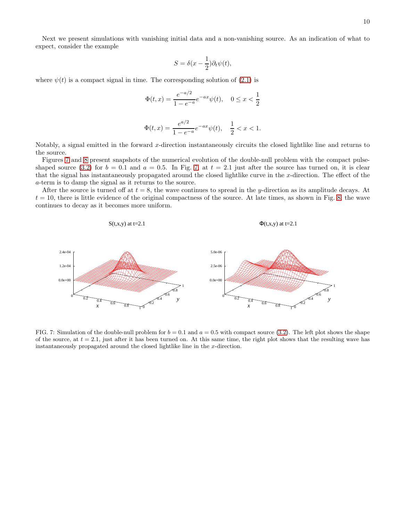$$
S = \delta(x - \frac{1}{2})\partial_t \psi(t),
$$

where  $\psi(t)$  is a compact signal in time. The corresponding solution of (2.1) is

$$
\Phi(t,x) = \frac{e^{-a/2}}{1 - e^{-a}} e^{-ax} \psi(t), \quad 0 \le x < \frac{1}{2}
$$

$$
\Phi(t,x) = \frac{e^{a/2}}{1 - e^{-a}} e^{-ax} \psi(t), \quad \frac{1}{2} < x < 1.
$$

Notably, a signal emitted in the forward x-direction instantaneously circuits the closed lightlike line and returns to the source.

Figures 7 and 8 present snapshots of the numerical evolution of the double-null problem with the compact pulseshaped source (3.2) for  $b = 0.1$  and  $a = 0.5$ . In Fig. 7, at  $t = 2.1$  just after the source has turned on, it is clear that the signal has instantaneously propagated around the closed lightlike curve in the x-direction. The effect of the a-term is to damp the signal as it returns to the source.

After the source is turned off at  $t = 8$ , the wave continues to spread in the y-direction as its amplitude decays. At  $t = 10$ , there is little evidence of the original compactness of the source. At late times, as shown in Fig. 8, the wave continues to decay as it becomes more uniform.



FIG. 7: Simulation of the double-null problem for  $b = 0.1$  and  $a = 0.5$  with compact source (3.2). The left plot shows the shape of the source, at  $t = 2.1$ , just after it has been turned on. At this same time, the right plot shows that the resulting wave has instantaneously propagated around the closed lightlike line in the x-direction.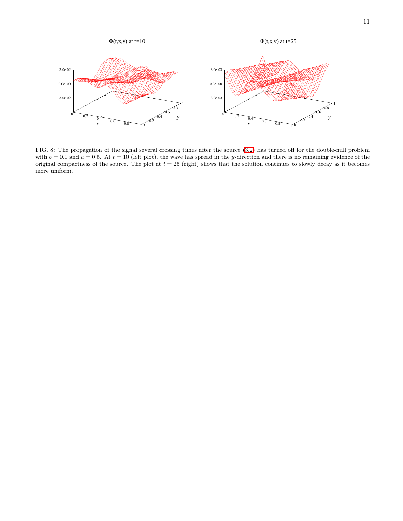

FIG. 8: The propagation of the signal several crossing times after the source (3.2) has turned off for the double-null problem with  $b = 0.1$  and  $a = 0.5$ . At  $t = 10$  (left plot), the wave has spread in the y-direction and there is no remaining evidence of the original compactness of the source. The plot at  $t = 25$  (right) shows that the solution continues to slowly decay as it becomes more uniform.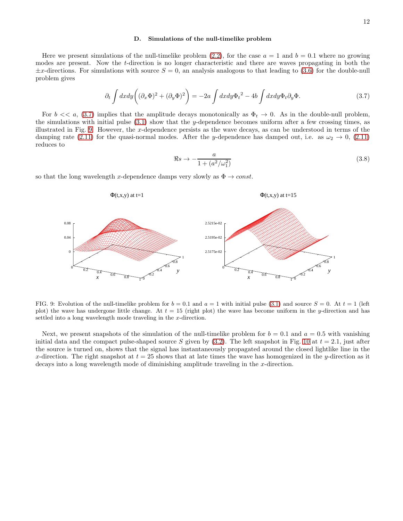#### D. Simulations of the null-timelike problem

Here we present simulations of the null-timelike problem (2.2), for the case  $a = 1$  and  $b = 0.1$  where no growing modes are present. Now the t-direction is no longer characteristic and there are waves propagating in both the  $\pm x$ -directions. For simulations with source  $S = 0$ , an analysis analogous to that leading to (3.6) for the double-null problem gives

$$
\partial_t \int dx dy \left( (\partial_x \Phi)^2 + (\partial_y \Phi)^2 \right) = -2a \int dx dy \Phi_t^2 - 4b \int dx dy \Phi_t \partial_y \Phi. \tag{3.7}
$$

For  $b \ll a$ , (3.7) implies that the amplitude decays monotonically as  $\Phi_t \to 0$ . As in the double-null problem, the simulations with initial pulse  $(3.1)$  show that the y-dependence becomes uniform after a few crossing times, as illustrated in Fig. 9. However, the x-dependence persists as the wave decays, as can be understood in terms of the damping rate (2.11) for the quasi-normal modes. After the y-dependence has damped out, i.e. as  $\omega_2 \to 0$ , (2.11) reduces to

$$
\Re s \to -\frac{a}{1 + (a^2/\omega_1^2)}\tag{3.8}
$$

so that the long wavelength x-dependence damps very slowly as  $\Phi \to const.$ 



FIG. 9: Evolution of the null-timelike problem for  $b = 0.1$  and  $a = 1$  with initial pulse (3.1) and source  $S = 0$ . At  $t = 1$  (left plot) the wave has undergone little change. At  $t = 15$  (right plot) the wave has become uniform in the y-direction and has settled into a long wavelength mode traveling in the x-direction.

Next, we present snapshots of the simulation of the null-timelike problem for  $b = 0.1$  and  $a = 0.5$  with vanishing initial data and the compact pulse-shaped source S given by  $(3.2)$ . The left snapshot in Fig. 10 at  $t = 2.1$ , just after the source is turned on, shows that the signal has instantaneously propagated around the closed lightlike line in the x-direction. The right snapshot at  $t = 25$  shows that at late times the wave has homogenized in the y-direction as it decays into a long wavelength mode of diminishing amplitude traveling in the x-direction.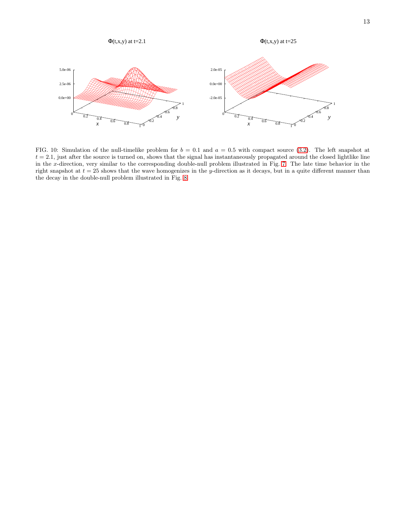

FIG. 10: Simulation of the null-timelike problem for  $b = 0.1$  and  $a = 0.5$  with compact source (3.2). The left snapshot at  $t = 2.1$ , just after the source is turned on, shows that the signal has instantaneously propagated around the closed lightlike line in the x-direction, very similar to the corresponding double-null problem illustrated in Fig. 7. The late time behavior in the right snapshot at  $t = 25$  shows that the wave homogenizes in the y-direction as it decays, but in a quite different manner than the decay in the double-null problem illustrated in Fig. 8.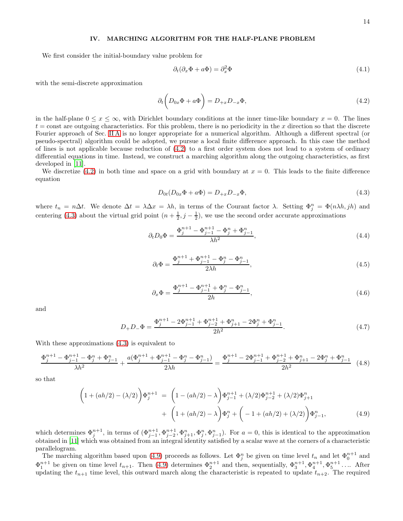#### IV. MARCHING ALGORITHM FOR THE HALF-PLANE PROBLEM

We first consider the initial-boundary value problem for

$$
\partial_t(\partial_x \Phi + a\Phi) = \partial_x^2 \Phi \tag{4.1}
$$

with the semi-discrete approximation

$$
\partial_t \left( D_{0x} \Phi + a \Phi \right) = D_{+x} D_{-x} \Phi, \tag{4.2}
$$

in the half-plane  $0 \le x \le \infty$ , with Dirichlet boundary conditions at the inner time-like boundary  $x = 0$ . The lines  $t =$ const are outgoing characteristics. For this problem, there is no periodicity in the x direction so that the discrete Fourier approach of Sec. II A is no longer appropriate for a numerical algorithm. Although a different spectral (or pseudo-spectral) algorithm could be adopted, we pursue a local finite difference approach. In this case the method of lines is not applicable because reduction of (4.2) to a first order system does not lead to a system of ordinary differential equations in time. Instead, we construct a marching algorithm along the outgoing characteristics, as first developed in [11].

We discretize (4.2) in both time and space on a grid with boundary at  $x = 0$ . This leads to the finite difference equation

$$
D_{0t}(D_{0x}\Phi + a\Phi) = D_{+x}D_{-x}\Phi,
$$
\n(4.3)

where  $t_n = n\Delta t$ . We denote  $\Delta t = \lambda \Delta x = \lambda h$ , in terms of the Courant factor  $\lambda$ . Setting  $\Phi_j^n = \Phi(n\lambda h, jh)$  and centering (4.3) about the virtual grid point  $(n + \frac{1}{2}, j - \frac{1}{2})$ , we use the second order accurate approximations

$$
\partial_t D_0 \Phi = \frac{\Phi_j^{n+1} - \Phi_{j-1}^{n+1} - \Phi_j^n + \Phi_{j-1}^n}{\lambda h^2},\tag{4.4}
$$

$$
\partial_t \Phi = \frac{\Phi_j^{n+1} + \Phi_{j-1}^{n+1} - \Phi_j^n - \Phi_{j-1}^n}{2\lambda h},\tag{4.5}
$$

$$
\partial_x \Phi = \frac{\Phi_j^{n+1} - \Phi_{j-1}^{n+1} + \Phi_j^n - \Phi_{j-1}^n}{2h},\tag{4.6}
$$

and

$$
D_{+}D_{-}\Phi = \frac{\Phi_{j}^{n+1} - 2\Phi_{j-1}^{n+1} + \Phi_{j-2}^{n+1} + \Phi_{j+1}^{n} - 2\Phi_{j}^{n} + \Phi_{j-1}^{n}}{2h^{2}}.
$$
\n(4.7)

With these approximations (4.3) is equivalent to

$$
\frac{\Phi_j^{n+1} - \Phi_{j-1}^{n+1} - \Phi_j^n + \Phi_{j-1}^n}{\lambda h^2} + \frac{a(\Phi_j^{n+1} + \Phi_{j-1}^{n+1} - \Phi_j^n - \Phi_{j-1}^n)}{2\lambda h} = \frac{\Phi_j^{n+1} - 2\Phi_{j-1}^{n+1} + \Phi_{j-2}^{n+1} + \Phi_{j+1}^n - 2\Phi_j^n + \Phi_{j-1}^n}{2h^2} \tag{4.8}
$$

so that

$$
\left(1 + (ah/2) - (\lambda/2)\right)\Phi_j^{n+1} = \left(1 - (ah/2) - \lambda\right)\Phi_{j-1}^{n+1} + (\lambda/2)\Phi_{j-2}^{n+1} + (\lambda/2)\Phi_{j+1}^{n}
$$

$$
+ \left(1 + (ah/2) - \lambda\right)\Phi_j^{n} + \left(-1 + (ah/2) + (\lambda/2)\right)\Phi_{j-1}^{n},\tag{4.9}
$$

which determines  $\Phi_j^{n+1}$ , in terms of  $(\Phi_{j-1}^{n+1}, \Phi_{j-2}^{n+1}, \Phi_{j+1}^n, \Phi_{j}^n, \Phi_{j-1}^n)$ . For  $a=0$ , this is identical to the approximation obtained in [11] which was obtained from an integral identity satisfied by a scalar wave at the corners of a characteristic parallelogram.

The marching algorithm based upon (4.9) proceeds as follows. Let  $\Phi_j^n$  be given on time level  $t_n$  and let  $\Phi_0^{n+1}$  and  $\Phi_1^{n+1}$  be given on time level  $t_{n+1}$ . Then (4.9) determines  $\Phi_2^{n+1}$  and then, sequentially,  $\Phi_3^{n+1}, \Phi_4^{n+1}, \Phi_5^{n+1}$ .... After updating the  $t_{n+1}$  time level, this outward march along the characteristic is repeated to update  $t_{n+2}$ . The required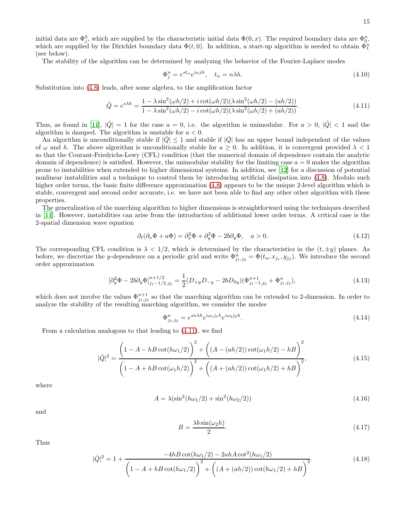initial data are  $\Phi_j^0$ , which are supplied by the characteristic initial data  $\Phi(0, x)$ . The required boundary data are  $\Phi_0^n$ , which are supplied by the Dirichlet boundary data  $\Phi(t,0)$ . In addition, a start-up algorithm is needed to obtain  $\Phi_1^n$ (see below).

The stability of the algorithm can be determined by analyzing the behavior of the Fourier-Laplace modes

$$
\Phi_j^n = e^{st_n} e^{i\omega jh}, \quad t_n = n\lambda h. \tag{4.10}
$$

Substitution into (4.8) leads, after some algebra, to the amplification factor

$$
\hat{Q} = e^{s\lambda h} = \frac{1 - \lambda \sin^2(\omega h/2) + i \cot(\omega h/2) (\lambda \sin^2(\omega h/2) - (ah/2))}{1 - \lambda \sin^2(\omega h/2) - i \cot(\omega h/2) (\lambda \sin^2(\omega h/2) + (ah/2))}.
$$
\n(4.11)

Thus, as found in [11],  $|\hat{Q}| = 1$  for the case  $a = 0$ , i.e. the algorithm is unimodular. For  $a > 0$ ,  $|\hat{Q}| < 1$  and the algorithm is damped. The algorithm is unstable for  $a < 0$ .

An algorithm is unconditionally stable if  $|\hat{Q}| \leq 1$  and stable if  $|\hat{Q}|$  has an upper bound independent of the values of  $\omega$  and h. The above algorithm is unconditionally stable for  $a \ge 0$ . In addition, it is convergent provided  $\lambda < 1$ so that the Courant-Friedrichs-Lewy (CFL) condition (that the numerical domain of dependence contain the analytic domain of dependence) is satisfied. However, the unimodular stability for the limiting case  $a = 0$  makes the algorithm prone to instabilities when extended to higher dimensional systems. In addition, see [12] for a discussion of potential nonlinear instabilities and a technique to control them by introducing artificial dissipation into (4.8). Modulo such higher order terms, the basic finite difference approximation (4.8) appears to be the unique 2-level algorithm which is stable, convergent and second order accurate, i.e. we have not been able to find any other other algorithm with these properties.

The generalization of the marching algorithm to higher dimensions is straightforward using the techniques described in [11]. However, instabilities can arise from the introduction of additional lower order terms. A critical case is the 2-spatial dimension wave equation

$$
\partial_t(\partial_x \Phi + a\Phi) = \partial_x^2 \Phi + \partial_y^2 \Phi - 2b\partial_y \Phi, \quad a > 0.
$$
\n(4.12)

The corresponding CFL condition is  $\lambda < 1/2$ , which is determined by the characteristics in the  $(t, \pm y)$  planes. As before, we discretize the y-dependence on a periodic grid and write  $\Phi_{j_1,j_2}^n = \Phi(t_n, x_{j_1}, y_{j_2})$ . We introduce the second order approximation

$$
[\partial_y^2 \Phi - 2b \partial_y \Phi]_{j_1 - 1/2, j_2}^{n + 1/2} = \frac{1}{2} (D_{+y} D_{-y} - 2b D_{0y}) (\Phi_{j_1 - 1, j_2}^{n + 1} + \Phi_{j_1, j_2}^n),
$$
\n(4.13)

which does not involve the values  $\Phi_{j_1,j_2}^{n+1}$  so that the marching algorithm can be extended to 2-dimension. In order to analyze the stability of the resulting marching algorithm, we consider the modes

$$
\Phi_{j_1,j_2}^n = e^{sn\lambda h} e^{i\omega_1 j_1 h} e^{i\omega_2 j_2 h}.
$$
\n(4.14)

From a calculation analogous to that leading to (4.11), we find

$$
|\hat{Q}|^2 = \frac{\left(1 - A - hB\cot(h\omega_1/2)\right)^2 + \left((A - (ah/2))\cot(\omega_1 h/2) - hB\right)^2}{\left(1 - A + hB\cot(\omega_1 h/2)\right)^2 + \left((A + (ah/2))\cot(\omega_1 h/2) + hB\right)^2},
$$
\n(4.15)

where

$$
A = \lambda \left(\sin^2(h\omega_1/2) + \sin^2(h\omega_2/2)\right) \tag{4.16}
$$

and

$$
B = \frac{\lambda b \sin(\omega_2 h)}{2}.
$$
\n(4.17)

Thus

$$
|\hat{Q}|^2 = 1 + \frac{-4hB\cot(h\omega_1/2) - 2ahA\cot^2(h\omega_1/2)}{\left(1 - A + hB\cot(h\omega_1/2)\right)^2 + \left((A + (ah/2))\cot(h\omega_1/2) + hB\right)^2}.
$$
\n(4.18)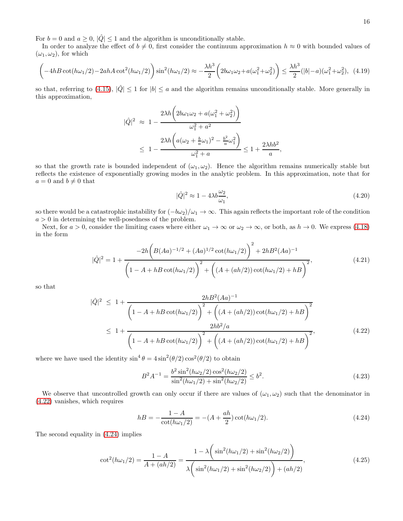For  $b = 0$  and  $a \ge 0$ ,  $|\hat{Q}| \le 1$  and the algorithm is unconditionally stable.

In order to analyze the effect of  $b \neq 0$ , first consider the continuum approximation  $h \approx 0$  with bounded values of  $(\omega_1, \omega_2)$ , for which

$$
\left(-4hB\cot(h\omega_1/2) - 2ahA\cot^2(h\omega_1/2)\right)\sin^2(h\omega_1/2) \approx -\frac{\lambda h^3}{2}\left(2b\omega_1\omega_2 + a(\omega_1^2 + \omega_2^2)\right) \le \frac{\lambda h^3}{2}(|b| - a)(\omega_1^2 + \omega_2^2), \tag{4.19}
$$

so that, referring to (4.15),  $|\hat{Q}| \le 1$  for  $|b| \le a$  and the algorithm remains unconditionally stable. More generally in this approximation,

$$
\begin{aligned} |\hat{Q}|^2 &\approx 1 - \frac{2\lambda h \left(2b\omega_1\omega_2 + a(\omega_1^2 + \omega_2^2)\right)}{\omega_1^2 + a^2} \\ &\le 1 - \frac{2\lambda h \left(a(\omega_2 + \frac{b}{a}\omega_1)^2 - \frac{b^2}{a}\omega_1^2\right)}{\omega_1^2 + a} \le 1 + \frac{2\lambda h b^2}{a}, \end{aligned}
$$

so that the growth rate is bounded independent of  $(\omega_1, \omega_2)$ . Hence the algorithm remains numerically stable but reflects the existence of exponentially growing modes in the analytic problem. In this approximation, note that for  $a = 0$  and  $b \neq 0$  that

$$
|\hat{Q}|^2 \approx 1 - 4\lambda b \frac{\omega_2}{\omega_1},\tag{4.20}
$$

so there would be a catastrophic instability for  $(-b\omega_2)/\omega_1 \to \infty$ . This again reflects the important role of the condition  $a > 0$  in determining the well-posedness of the problem.

Next, for  $a > 0$ , consider the limiting cases where either  $\omega_1 \to \infty$  or  $\omega_2 \to \infty$ , or both, as  $h \to 0$ . We express (4.18) in the form

$$
|\hat{Q}|^2 = 1 + \frac{-2h\left(B(Aa)^{-1/2} + (Aa)^{1/2}\cot(h\omega_1/2)\right)^2 + 2hB^2(Aa)^{-1}}{\left(1 - A + hB\cot(h\omega_1/2)\right)^2 + \left((A + (ah/2))\cot(h\omega_1/2) + hB\right)^2},\tag{4.21}
$$

so that

$$
|\hat{Q}|^2 \le 1 + \frac{2hB^2(Aa)^{-1}}{\left(1 - A + hB\cot(h\omega_1/2)\right)^2 + \left((A + (ah/2))\cot(h\omega_1/2) + hB\right)^2}
$$
  
 
$$
\le 1 + \frac{2hb^2/a}{\left(1 - A + hB\cot(h\omega_1/2)\right)^2 + \left((A + (ah/2))\cot(h\omega_1/2) + hB\right)^2},
$$
 (4.22)

where we have used the identity  $\sin^4 \theta = 4 \sin^2(\theta/2) \cos^2(\theta/2)$  to obtain

$$
B^{2}A^{-1} = \frac{b^{2}\sin^{2}(h\omega_{2}/2)\cos^{2}(h\omega_{2}/2)}{\sin^{2}(h\omega_{1}/2) + \sin^{2}(h\omega_{2}/2)} \leq b^{2}.
$$
\n(4.23)

We observe that uncontrolled growth can only occur if there are values of  $(\omega_1, \omega_2)$  such that the denominator in (4.22) vanishes, which requires

$$
h = -\frac{1 - A}{\cot(h\omega_1/2)} = -(A + \frac{ah}{2})\cot(h\omega_1/2). \tag{4.24}
$$

The second equality in (4.24) implies

$$
\cot^2(h\omega_1/2) = \frac{1-A}{A + (ah/2)} = \frac{1-\lambda\left(\sin^2(h\omega_1/2) + \sin^2(h\omega_2/2)\right)}{\lambda\left(\sin^2(h\omega_1/2) + \sin^2(h\omega_2/2)\right) + (ah/2)},
$$
\n(4.25)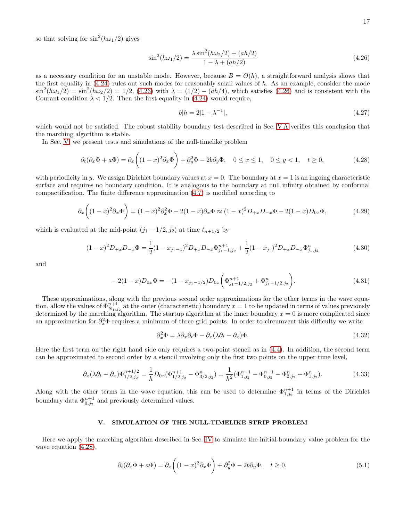so that solving for  $\sin^2(h\omega_1/2)$  gives

$$
\sin^2(h\omega_1/2) = \frac{\lambda \sin^2(h\omega_2/2) + (ah/2)}{1 - \lambda + (ah/2)}
$$
\n(4.26)

as a necessary condition for an unstable mode. However, because  $B = O(h)$ , a straightforward analysis shows that the first equality in  $(4.24)$  rules out such modes for reasonably small values of h. As an example, consider the mode  $\sin^2(h\omega_1/2) = \sin^2(h\omega_2/2) = 1/2$ , (4.26) with  $\lambda = (1/2) - (ah/4)$ , which satisfies (4.26) and is consistent with the Courant condition  $\lambda < 1/2$ . Then the first equality in (4.24) would require,

$$
|b|h = 2|1 - \lambda^{-1}|,\tag{4.27}
$$

which would not be satisfied. The robust stability boundary test described in Sec. V A verifies this conclusion that the marching algorithm is stable.

In Sec. V, we present tests and simulations of the null-timelike problem

$$
\partial_t(\partial_x \Phi + a\Phi) = \partial_x \left( (1-x)^2 \partial_x \Phi \right) + \partial_y^2 \Phi - 2b \partial_y \Phi, \quad 0 \le x \le 1, \quad 0 \le y < 1, \quad t \ge 0,
$$
\n(4.28)

with periodicity in y. We assign Dirichlet boundary values at  $x = 0$ . The boundary at  $x = 1$  is an ingoing characteristic surface and requires no boundary condition. It is analogous to the boundary at null infinity obtained by conformal compactification. The finite difference approximation (4.7) is modified according to

$$
\partial_x \left( (1-x)^2 \partial_x \Phi \right) = (1-x)^2 \partial_x^2 \Phi - 2(1-x) \partial_x \Phi \approx (1-x)^2 D_{+x} D_{-x} \Phi - 2(1-x) D_{0x} \Phi, \tag{4.29}
$$

which is evaluated at the mid-point  $(j_1 - 1/2, j_2)$  at time  $t_{n+1/2}$  by

$$
(1-x)^2 D_{+x} D_{-x} \Phi = \frac{1}{2} (1-x_{j_1-1})^2 D_{+x} D_{-x} \Phi_{j_1-1,j_2}^{n+1} + \frac{1}{2} (1-x_{j_1})^2 D_{+x} D_{-x} \Phi_{j_1,j_2}^n
$$
(4.30)

and

$$
-2(1-x)D_{0x}\Phi = -(1-x_{j_1-1/2})D_{0x}\left(\Phi_{j_1-1/2,j_2}^{n+1} + \Phi_{j_1-1/2,j_2}^n\right).
$$
\n(4.31)

These approximations, along with the previous second order approximations for the other terms in the wave equation, allow the values of  $\Phi_{N_1,j_2}^{n+1}$  at the outer (characteristic) boundary  $x=1$  to be updated in terms of values previously determined by the marching algorithm. The startup algorithm at the inner boundary  $x = 0$  is more complicated since an approximation for  $\partial_x^2 \Phi$  requires a minimum of three grid points. In order to circumvent this difficulty we write

$$
\partial_x^2 \Phi = \lambda \partial_x \partial_t \Phi - \partial_x (\lambda \partial_t - \partial_x) \Phi.
$$
\n(4.32)

Here the first term on the right hand side only requires a two-point stencil as in (4.4). In addition, the second term can be approximated to second order by a stencil involving only the first two points on the upper time level,

$$
\partial_x(\lambda \partial_t - \partial_x) \Phi_{1/2,j_2}^{n+1/2} = \frac{1}{h} D_{0x} (\Phi_{1/2,j_2}^{n+1} - \Phi_{3/2,j_2}^n) = \frac{1}{h^2} (\Phi_{1,j_2}^{n+1} - \Phi_{0,j_2}^{n+1} - \Phi_{2,j_2}^n + \Phi_{1,j_2}^n). \tag{4.33}
$$

Along with the other terms in the wave equation, this can be used to determine  $\Phi_{1,j_2}^{n+1}$  in terms of the Dirichlet boundary data  $\Phi_{0,j_2}^{n+1}$  and previously determined values.

## V. SIMULATION OF THE NULL-TIMELIKE STRIP PROBLEM

Here we apply the marching algorithm described in Sec. IV to simulate the initial-boundary value problem for the wave equation (4.28),

$$
\partial_t(\partial_x \Phi + a\Phi) = \partial_x \left( (1-x)^2 \partial_x \Phi \right) + \partial_y^2 \Phi - 2b \partial_y \Phi, \quad t \ge 0,
$$
\n(5.1)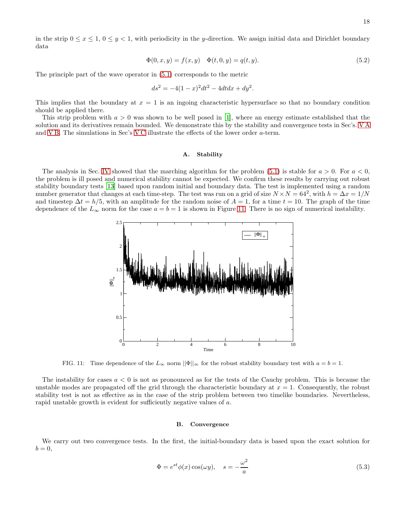in the strip  $0 \le x \le 1$ ,  $0 \le y < 1$ , with periodicity in the y-direction. We assign initial data and Dirichlet boundary data

$$
\Phi(0, x, y) = f(x, y) \quad \Phi(t, 0, y) = q(t, y). \tag{5.2}
$$

The principle part of the wave operator in (5.1) corresponds to the metric

$$
ds^2 = -4(1-x)^2 dt^2 - 4dt dx + dy^2.
$$

This implies that the boundary at  $x = 1$  is an ingoing characteristic hypersurface so that no boundary condition should be applied there.

This strip problem with  $a > 0$  was shown to be well posed in [1], where an energy estimate established that the solution and its derivatives remain bounded. We demonstrate this by the stability and convergence tests in Sec's. V A and V B. The simulations in Sec's V C illustrate the effects of the lower order a-term.

#### A. Stability

The analysis in Sec. IV showed that the marching algorithm for the problem  $(5.1)$  is stable for  $a > 0$ . For  $a < 0$ , the problem is ill posed and numerical stability cannot be expected. We confirm these results by carrying out robust stability boundary tests [13] based upon random initial and boundary data. The test is implemented using a random number generator that changes at each time-step. The test was run on a grid of size  $N \times N = 64^2$ , with  $h = \Delta x = 1/N$ and timestep  $\Delta t = h/5$ , with an amplitude for the random noise of  $A = 1$ , for a time  $t = 10$ . The graph of the time dependence of the  $L_{\infty}$  norm for the case  $a = b = 1$  is shown in Figure 11. There is no sign of numerical instability.



FIG. 11: Time dependence of the  $L_{\infty}$  norm  $||\Phi||_{\infty}$  for the robust stability boundary test with  $a = b = 1$ .

The instability for cases  $a < 0$  is not as pronounced as for the tests of the Cauchy problem. This is because the unstable modes are propagated off the grid through the characteristic boundary at  $x = 1$ . Consequently, the robust stability test is not as effective as in the case of the strip problem between two timelike boundaries. Nevertheless, rapid unstable growth is evident for sufficiently negative values of a.

#### B. Convergence

We carry out two convergence tests. In the first, the initial-boundary data is based upon the exact solution for  $b=0,$ 

$$
\Phi = e^{st} \phi(x) \cos(\omega y), \quad s = -\frac{\omega^2}{a} \tag{5.3}
$$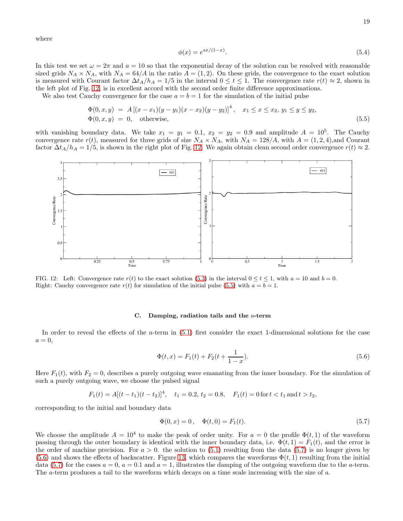where

$$
\phi(x) = e^{sx/(1-x)}.\tag{5.4}
$$

In this test we set  $\omega = 2\pi$  and  $a = 10$  so that the exponential decay of the solution can be resolved with reasonable sized grids  $N_A \times N_A$ , with  $N_A = 64/A$  in the ratio  $A = (1, 2)$ . On these grids, the convergence to the exact solution is measured with Courant factor  $\Delta t_A/h_A = 1/5$  in the interval  $0 \le t \le 1$ . The convergence rate  $r(t) \approx 2$ , shown in the left plot of Fig. 12, is in excellent accord with the second order finite difference approximations.

We also test Cauchy convergence for the case  $a = b = 1$  for the simulation of the initial pulse

$$
\Phi(0, x, y) = A [(x - x_1)(y - y_1)(x - x_2)(y - y_2)]^4, \quad x_1 \le x \le x_2, y_1 \le y \le y_2, \n\Phi(0, x, y) = 0, \quad \text{otherwise},
$$
\n(5.5)

with vanishing boundary data. We take  $x_1 = y_1 = 0.1$ ,  $x_2 = y_2 = 0.9$  and amplitude  $A = 10^5$ . The Cauchy convergence rate  $r(t)$ , measured for three grids of size  $N_A \times N_A$ , with  $N_A = 128/A$ , with  $A = (1, 2, 4)$ , and Courant factor  $\Delta t_A/h_A = 1/5$ , is shown in the right plot of Fig. 12. We again obtain clean second order convergence  $r(t) \approx 2$ .



FIG. 12: Left: Convergence rate  $r(t)$  to the exact solution (5.3) in the interval  $0 \le t \le 1$ , with  $a = 10$  and  $b = 0$ . Right: Cauchy convergence rate  $r(t)$  for simulation of the initial pulse (5.5) with  $a = b = 1$ .

#### C. Damping, radiation tails and the a-term

In order to reveal the effects of the a-term in (5.1) first consider the exact 1-dimensional solutions for the case  $a=0,$ 

$$
\Phi(t,x) = F_1(t) + F_2(t + \frac{1}{1-x}).\tag{5.6}
$$

Here  $F_1(t)$ , with  $F_2 = 0$ , describes a purely outgoing wave emanating from the inner boundary. For the simulation of such a purely outgoing wave, we choose the pulsed signal

$$
F_1(t) = A[(t - t_1)(t - t_2)]^4
$$
,  $t_1 = 0.2$ ,  $t_2 = 0.8$ ,  $F_1(t) = 0$  for  $t < t_1$  and  $t > t_2$ ,

corresponding to the initial and boundary data

$$
\Phi(0, x) = 0, \quad \Phi(t, 0) = F_1(t). \tag{5.7}
$$

We choose the amplitude  $A = 10^4$  to make the peak of order unity. For  $a = 0$  the profile  $\Phi(t, 1)$  of the waveform passing through the outer boundary is identical with the inner boundary data, i.e.  $\Phi(t, 1) = F_1(t)$ , and the error is the order of machine precision. For  $a > 0$ , the solution to (5.1) resulting from the data (5.7) is no longer given by  $(5.6)$  and shows the effects of backscatter. Figure 13, which compares the waveforms  $\Phi(t, 1)$  resulting from the initial data (5.7) for the cases  $a = 0$ ,  $a = 0.1$  and  $a = 1$ , illustrates the damping of the outgoing waveform due to the *a*-term. The a-term produces a tail to the waveform which decays on a time scale increasing with the size of a.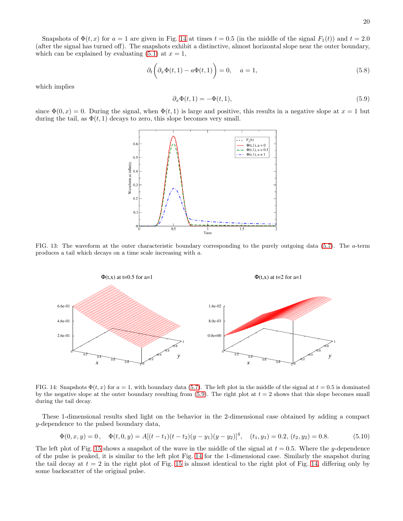Snapshots of  $\Phi(t, x)$  for  $a = 1$  are given in Fig. 14 at times  $t = 0.5$  (in the middle of the signal  $F_1(t)$ ) and  $t = 2.0$ (after the signal has turned off). The snapshots exhibit a distinctive, almost horizontal slope near the outer boundary, which can be explained by evaluating  $(5.1)$  at  $x = 1$ ,

$$
\partial_t \left( \partial_x \Phi(t, 1) - a \Phi(t, 1) \right) = 0, \quad a = 1,
$$
\n(5.8)

which implies

$$
\partial_x \Phi(t,1) = -\Phi(t,1),\tag{5.9}
$$

since  $\Phi(0, x) = 0$ . During the signal, when  $\Phi(t, 1)$  is large and positive, this results in a negative slope at  $x = 1$  but during the tail, as  $\Phi(t, 1)$  decays to zero, this slope becomes very small.



FIG. 13: The waveform at the outer characteristic boundary corresponding to the purely outgoing data (5.7). The a-term produces a tail which decays on a time scale increasing with a.



FIG. 14: Snapshots  $\Phi(t, x)$  for  $a = 1$ , with boundary data (5.7). The left plot in the middle of the signal at  $t = 0.5$  is dominated by the negative slope at the outer boundary resulting from  $(5.9)$ . The right plot at  $t = 2$  shows that this slope becomes small during the tail decay.

These 1-dimensional results shed light on the behavior in the 2-dimensional case obtained by adding a compact y-dependence to the pulsed boundary data,

$$
\Phi(0, x, y) = 0, \quad \Phi(t, 0, y) = A[(t - t_1)(t - t_2)(y - y_1)(y - y_2)]^4, \quad (t_1, y_1) = 0.2, \quad (t_2, y_2) = 0.8. \tag{5.10}
$$

The left plot of Fig. 15 shows a snapshot of the wave in the middle of the signal at  $t = 0.5$ . Where the y-dependence of the pulse is peaked, it is similar to the left plot Fig. 14 for the 1-dimensional case. Similarly the snapshot during the tail decay at  $t = 2$  in the right plot of Fig. 15 is almost identical to the right plot of Fig. 14, differing only by some backscatter of the original pulse.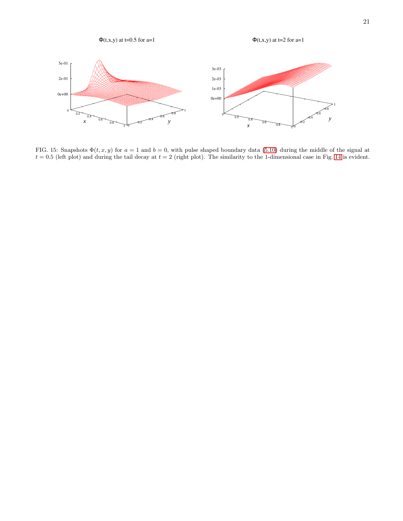

FIG. 15: Snapshots  $\Phi(t, x, y)$  for  $a = 1$  and  $b = 0$ , with pulse shaped boundary data (5.10) during the middle of the signal at  $t = 0.5$  (left plot) and during the tail decay at  $t = 2$  (right plot). The similarity to the 1-dimensional case in Fig. 14 is evident.